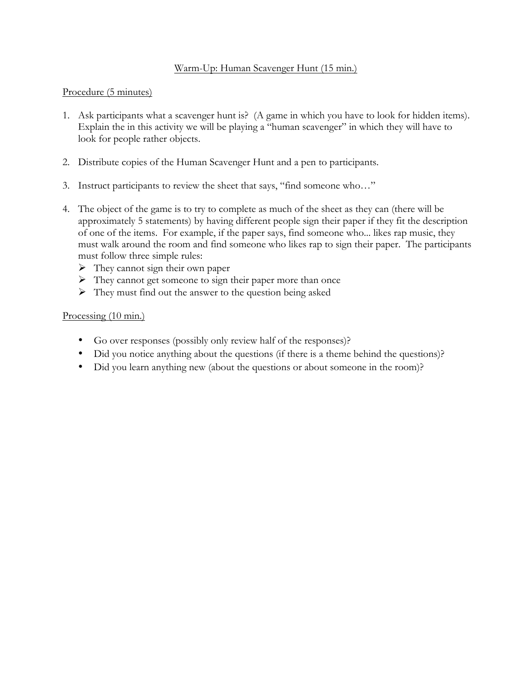## Warm-Up: Human Scavenger Hunt (15 min.)

#### Procedure (5 minutes)

- 1. Ask participants what a scavenger hunt is? (A game in which you have to look for hidden items). Explain the in this activity we will be playing a "human scavenger" in which they will have to look for people rather objects.
- 2. Distribute copies of the Human Scavenger Hunt and a pen to participants.
- 3. Instruct participants to review the sheet that says, "find someone who…"
- 4. The object of the game is to try to complete as much of the sheet as they can (there will be approximately 5 statements) by having different people sign their paper if they fit the description of one of the items. For example, if the paper says, find someone who... likes rap music, they must walk around the room and find someone who likes rap to sign their paper. The participants must follow three simple rules:
	- $\triangleright$  They cannot sign their own paper
	- $\triangleright$  They cannot get someone to sign their paper more than once
	- $\triangleright$  They must find out the answer to the question being asked

### Processing (10 min.)

- Go over responses (possibly only review half of the responses)?
- Did you notice anything about the questions (if there is a theme behind the questions)?
- Did you learn anything new (about the questions or about someone in the room)?